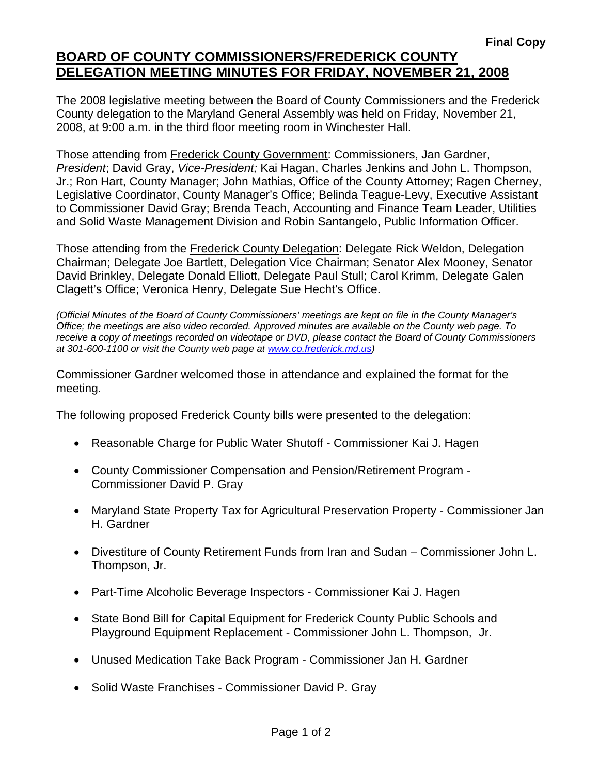## **BOARD OF COUNTY COMMISSIONERS/FREDERICK COUNTY DELEGATION MEETING MINUTES FOR FRIDAY, NOVEMBER 21, 2008**

The 2008 legislative meeting between the Board of County Commissioners and the Frederick County delegation to the Maryland General Assembly was held on Friday, November 21, 2008, at 9:00 a.m. in the third floor meeting room in Winchester Hall.

Those attending from Frederick County Government: Commissioners, Jan Gardner, *President*; David Gray, *Vice-President;* Kai Hagan, Charles Jenkins and John L. Thompson, Jr.; Ron Hart, County Manager; John Mathias, Office of the County Attorney; Ragen Cherney, Legislative Coordinator, County Manager's Office; Belinda Teague-Levy, Executive Assistant to Commissioner David Gray; Brenda Teach, Accounting and Finance Team Leader, Utilities and Solid Waste Management Division and Robin Santangelo, Public Information Officer.

Those attending from the Frederick County Delegation: Delegate Rick Weldon, Delegation Chairman; Delegate Joe Bartlett, Delegation Vice Chairman; Senator Alex Mooney, Senator David Brinkley, Delegate Donald Elliott, Delegate Paul Stull; Carol Krimm, Delegate Galen Clagett's Office; Veronica Henry, Delegate Sue Hecht's Office.

*(Official Minutes of the Board of County Commissioners' meetings are kept on file in the County Manager's Office; the meetings are also video recorded. Approved minutes are available on the County web page. To receive a copy of meetings recorded on videotape or DVD, please contact the Board of County Commissioners at 301-600-1100 or visit the County web page at www.co.frederick.md.us)* 

Commissioner Gardner welcomed those in attendance and explained the format for the meeting.

The following proposed Frederick County bills were presented to the delegation:

- Reasonable Charge for Public Water Shutoff Commissioner Kai J. Hagen
- County Commissioner Compensation and Pension/Retirement Program Commissioner David P. Gray
- Maryland State Property Tax for Agricultural Preservation Property Commissioner Jan H. Gardner
- Divestiture of County Retirement Funds from Iran and Sudan Commissioner John L. Thompson, Jr.
- Part-Time Alcoholic Beverage Inspectors Commissioner Kai J. Hagen
- State Bond Bill for Capital Equipment for Frederick County Public Schools and Playground Equipment Replacement - Commissioner John L. Thompson, Jr.
- Unused Medication Take Back Program Commissioner Jan H. Gardner
- Solid Waste Franchises Commissioner David P. Gray